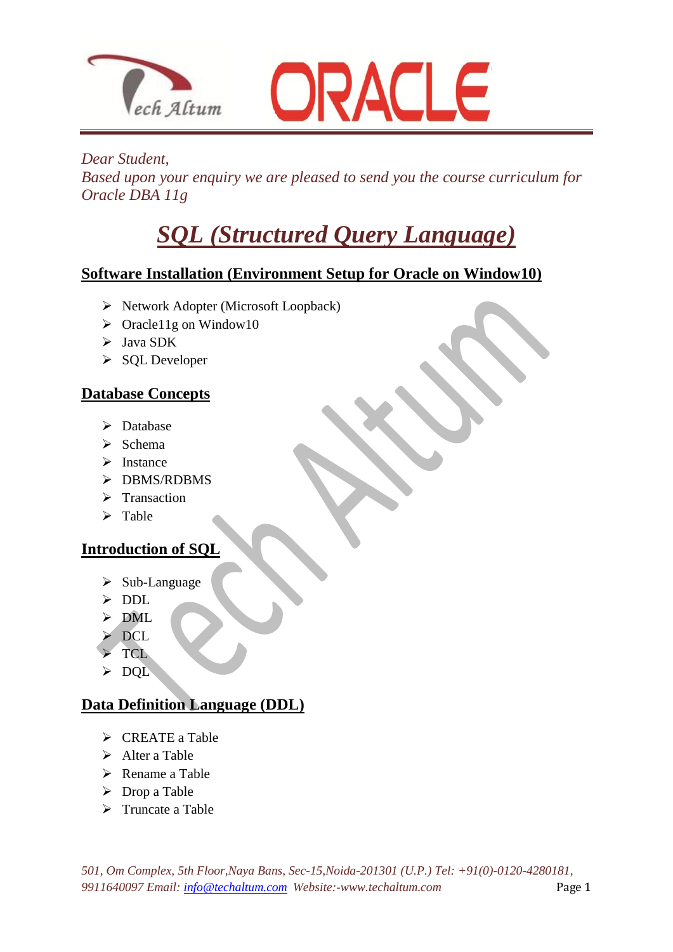



#### *Dear Student,*

*Based upon your enquiry we are pleased to send you the course curriculum for Oracle DBA 11g*

# *SQL (Structured Query Language)*

## **Software Installation (Environment Setup for Oracle on Window10)**

 $\triangleright$  Network Adopter (Microsoft Loopback)

 $\overline{\phantom{a}}$ 

- $\triangleright$  Oracle11g on Window10
- $\triangleright$  Java SDK
- $\triangleright$  SQL Developer

## **Database Concepts**

- > Database
- $\triangleright$  Schema
- $\triangleright$  Instance
- $\triangleright$  DBMS/RDBMS
- $\triangleright$  Transaction
- $\triangleright$  Table

## **Introduction of SQL**

- $\triangleright$  Sub-Language
- > DDL
- $>$  DML
- $\overline{DCL}$
- **TCL**
- > DOL

## **Data Definition Language (DDL)**

- $\triangleright$  CREATE a Table
- $\triangleright$  Alter a Table
- $\triangleright$  Rename a Table
- $\triangleright$  Drop a Table
- $\triangleright$  Truncate a Table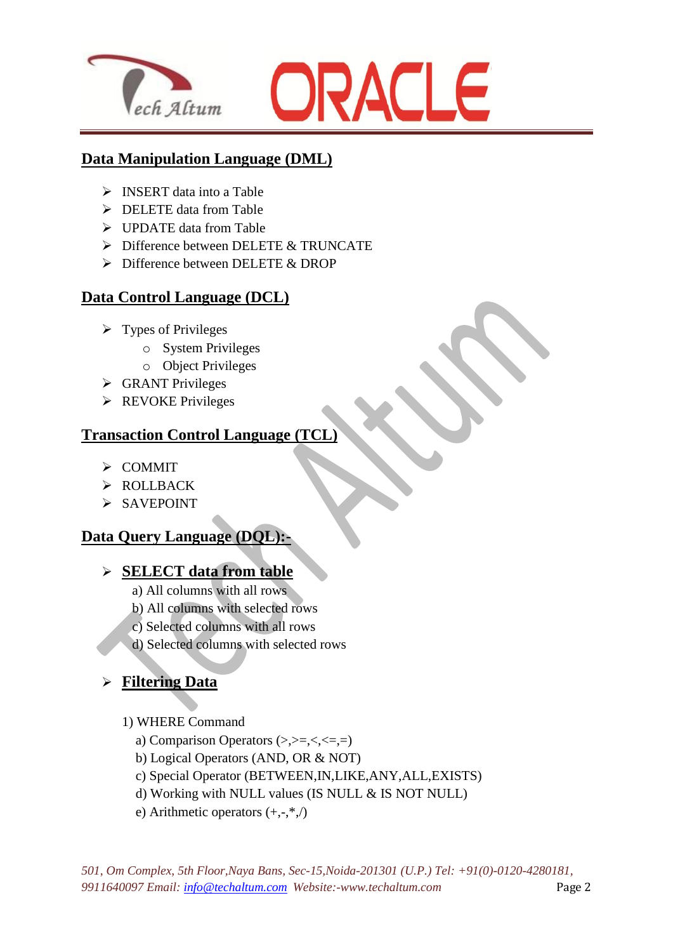



#### **Data Manipulation Language (DML)**

 $\overline{\phantom{a}}$ 

- $\triangleright$  INSERT data into a Table
- $\triangleright$  DELETE data from Table
- > UPDATE data from Table
- $\triangleright$  Difference between DELETE & TRUNCATE
- Difference between DELETE & DROP

## **Data Control Language (DCL)**

- $\triangleright$  Types of Privileges
	- o System Privileges
	- o Object Privileges
- GRANT Privileges
- $\triangleright$  REVOKE Privileges

## **Transaction Control Language (TCL)**

- $\triangleright$  COMMIT
- > ROLLBACK
- $\triangleright$  SAVEPOINT

## **Data Query Language (DQL):-**

#### **SELECT data from table**

- a) All columns with all rows
- b) All columns with selected rows
- c) Selected columns with all rows
- d) Selected columns with selected rows

## **Filtering Data**

- 1) WHERE Command
	- a) Comparison Operators  $(\ge, \ge, \le, \le, =)$
	- b) Logical Operators (AND, OR & NOT)
	- c) Special Operator (BETWEEN,IN,LIKE,ANY,ALL,EXISTS)
	- d) Working with NULL values (IS NULL & IS NOT NULL)
	- e) Arithmetic operators  $(+,-,*,')$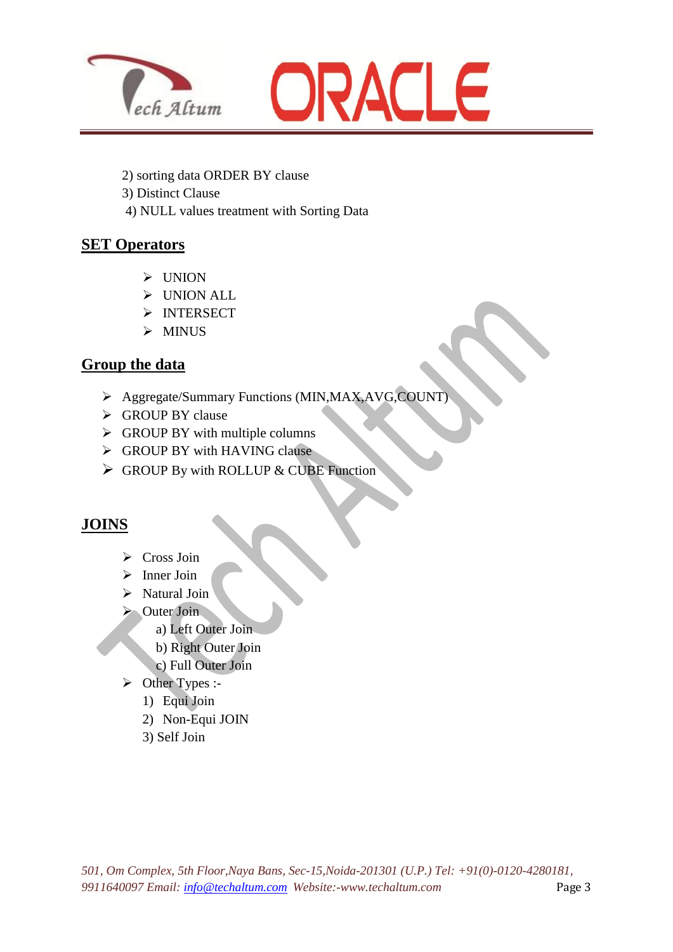



2) sorting data ORDER BY clause

 $\overline{\phantom{a}}$ 

- 3) Distinct Clause
- 4) NULL values treatment with Sorting Data

#### **SET Operators**

- UNION
- > UNION ALL
- > INTERSECT
- $\triangleright$  MINUS

#### **Group the data**

- Aggregate/Summary Functions (MIN,MAX,AVG,COUNT)
- Since GROUP BY clause
- $\triangleright$  GROUP BY with multiple columns
- Sectional GROUP BY with HAVING clause
- $\triangleright$  GROUP By with ROLLUP & CUBE Function

## **JOINS**

- $\triangleright$  Cross Join
- $\triangleright$  Inner Join
- $\triangleright$  Natural Join
- $\triangleright$  Outer Join
	- a) Left Outer Join
	- b) Right Outer Join
	- c) Full Outer Join
- > Other Types :-
	- 1) Equi Join
	- 2) Non-Equi JOIN
	- 3) Self Join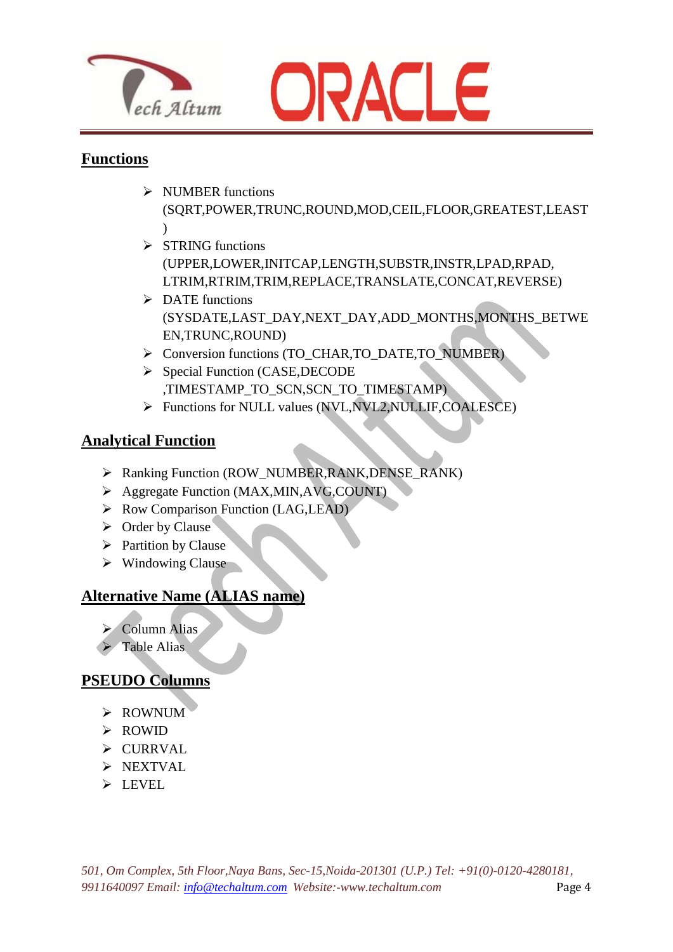



#### **Functions**

- > NUMBER functions (SQRT,POWER,TRUNC,ROUND,MOD,CEIL,FLOOR,GREATEST,LEAST  $\lambda$
- $\triangleright$  STRING functions (UPPER,LOWER,INITCAP,LENGTH,SUBSTR,INSTR,LPAD,RPAD, LTRIM,RTRIM,TRIM,REPLACE,TRANSLATE,CONCAT,REVERSE)
- $\triangleright$  DATE functions (SYSDATE,LAST\_DAY,NEXT\_DAY,ADD\_MONTHS,MONTHS\_BETWE EN,TRUNC,ROUND)
- > Conversion functions (TO\_CHAR,TO\_DATE,TO\_NUMBER)
- Special Function (CASE, DECODE ,TIMESTAMP\_TO\_SCN,SCN\_TO\_TIMESTAMP)
- Functions for NULL values (NVL,NVL2,NULLIF,COALESCE)

## **Analytical Function**

- Ranking Function (ROW\_NUMBER,RANK,DENSE\_RANK)
- Aggregate Function (MAX,MIN,AVG,COUNT)
- $\triangleright$  Row Comparison Function (LAG,LEAD)

 $\overline{\phantom{a}}$ 

- $\triangleright$  Order by Clause
- $\triangleright$  Partition by Clause
- $\triangleright$  Windowing Clause

## **Alternative Name (ALIAS name)**

- $\triangleright$  Column Alias
- Table Alias

## **PSEUDO Columns**

- > ROWNUM
- > ROWID
- $\triangleright$  CURRVAL
- $\triangleright$  NEXTVAL
- $\triangleright$  LEVEL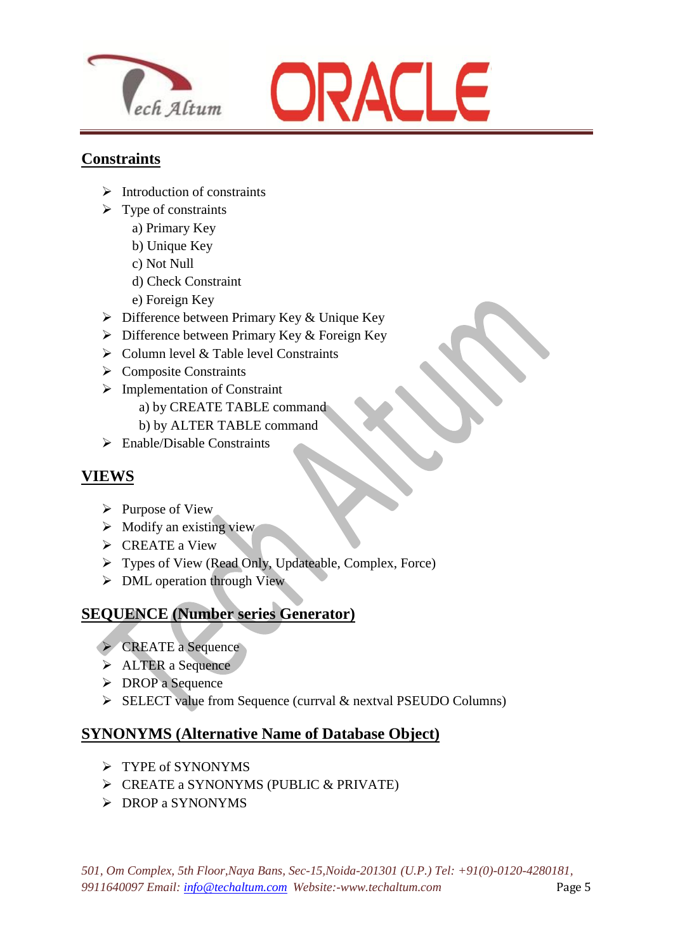



#### **Constraints**

- $\triangleright$  Introduction of constraints
- $\triangleright$  Type of constraints
	- a) Primary Key
	- b) Unique Key
	- c) Not Null
	- d) Check Constraint
	- e) Foreign Key
- $\triangleright$  Difference between Primary Key & Unique Key

 $\overline{\phantom{a}}$ 

- $\triangleright$  Difference between Primary Key & Foreign Key
- $\triangleright$  Column level & Table level Constraints
- $\triangleright$  Composite Constraints
- > Implementation of Constraint
	- a) by CREATE TABLE command
	- b) by ALTER TABLE command
- $\triangleright$  Enable/Disable Constraints

## **VIEWS**

- $\triangleright$  Purpose of View
- $\triangleright$  Modify an existing view
- $\triangleright$  CREATE a View
- Types of View (Read Only, Updateable, Complex, Force)
- $\triangleright$  DML operation through View

## **SEQUENCE (Number series Generator)**

- CREATE a Sequence
- $\triangleright$  ALTER a Sequence
- $\triangleright$  DROP a Sequence
- $\triangleright$  SELECT value from Sequence (currval & nextval PSEUDO Columns)

#### **SYNONYMS (Alternative Name of Database Object)**

- $\triangleright$  TYPE of SYNONYMS
- $\triangleright$  CREATE a SYNONYMS (PUBLIC & PRIVATE)
- $\triangleright$  DROP a SYNONYMS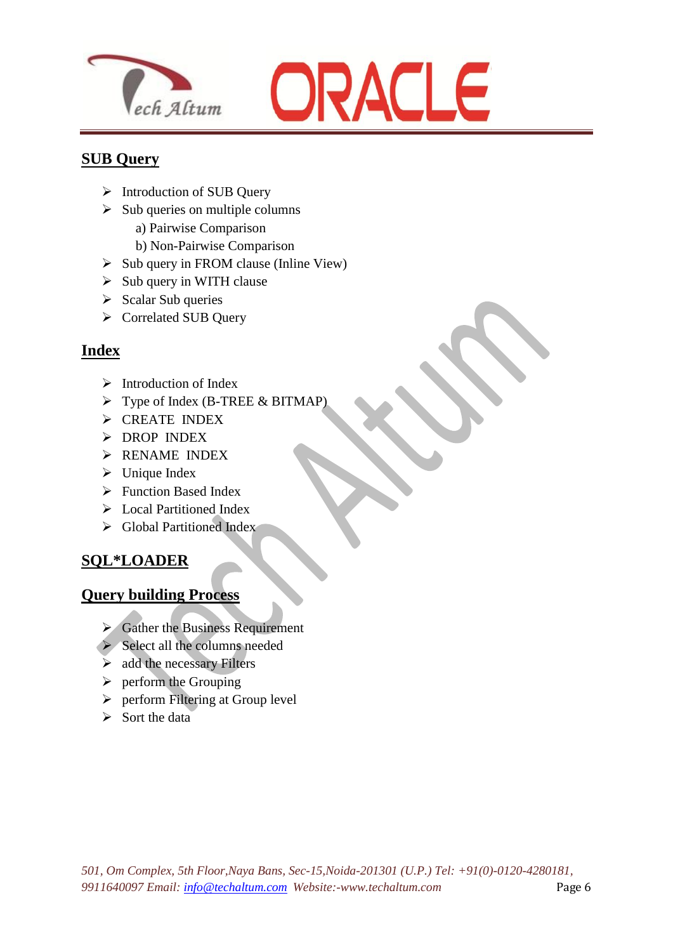



#### **SUB Query**

- > Introduction of SUB Ouery
- $\triangleright$  Sub queries on multiple columns
	- a) Pairwise Comparison
	- b) Non-Pairwise Comparison
- $\triangleright$  Sub query in FROM clause (Inline View)

 $\overline{\phantom{a}}$ 

- $\triangleright$  Sub query in WITH clause
- $\triangleright$  Scalar Sub queries
- Correlated SUB Query

## **Index**

- $\triangleright$  Introduction of Index
- $\triangleright$  Type of Index (B-TREE & BITMAP)
- $\triangleright$  CREATE INDEX
- $\triangleright$  DROP INDEX
- RENAME INDEX
- $\triangleright$  Unique Index
- $\triangleright$  Function Based Index
- Local Partitioned Index
- $\triangleright$  Global Partitioned Index

## **SQL\*LOADER**

#### **Query building Process**

- $\triangleright$  Gather the Business Requirement
- $\triangleright$  Select all the columns needed
- $\triangleright$  add the necessary Filters
- $\triangleright$  perform the Grouping
- $\triangleright$  perform Filtering at Group level
- $\triangleright$  Sort the data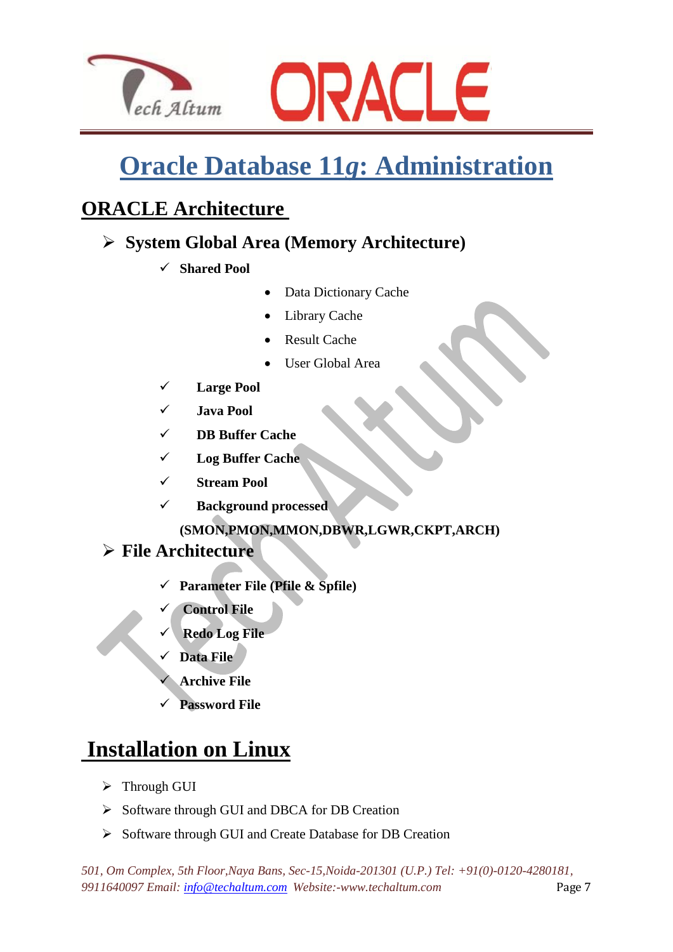



# **Oracle Database 11***g***: Administration**

## **ORACLE Architecture**

## **System Global Area (Memory Architecture)**

**Shared Pool**

 $\overline{\phantom{a}}$ 

- Data Dictionary Cache
- Library Cache
- Result Cache
- User Global Area
- **Large Pool**
- **Java Pool**
- **DB Buffer Cache**
- **Log Buffer Cache**
- **Stream Pool**
- **Background processed (SMON,PMON,MMON,DBWR,LGWR,CKPT,ARCH)**

## **File Architecture**

- **Parameter File (Pfile & Spfile)**
- **Control File**
- **Redo Log File**
- **Data File**
- **Archive File**
- **Password File**

# **Installation on Linux**

- > Through GUI
- $\triangleright$  Software through GUI and DBCA for DB Creation
- $\triangleright$  Software through GUI and Create Database for DB Creation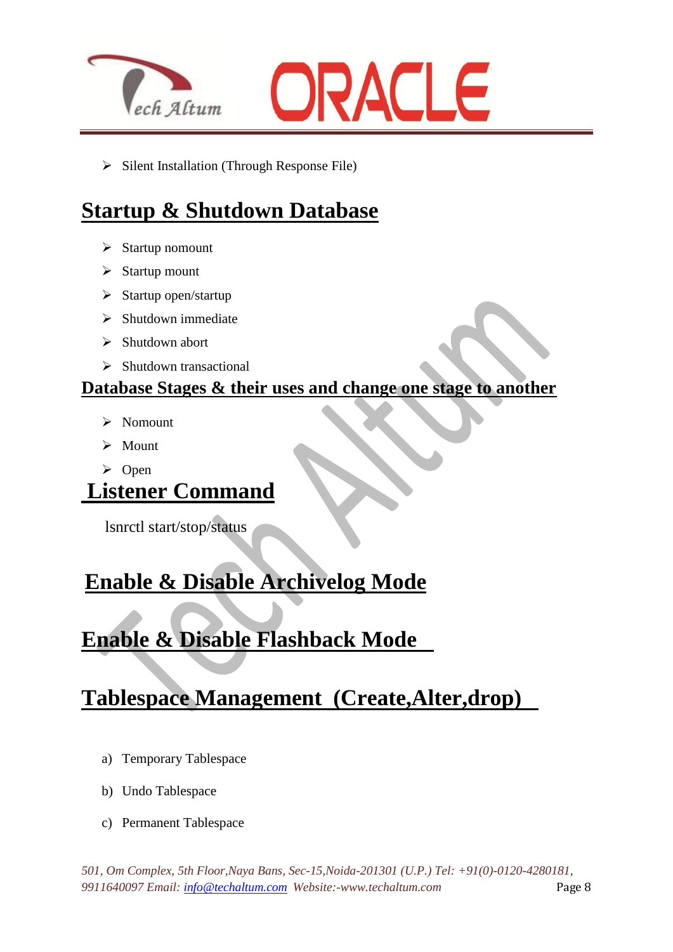



 $\triangleright$  Silent Installation (Through Response File)

 $\overline{\phantom{a}}$ 

# **Startup & Shutdown Database**

- $\triangleright$  Startup nomount
- $\triangleright$  Startup mount
- $\triangleright$  Startup open/startup
- $\triangleright$  Shutdown immediate
- $\triangleright$  Shutdown abort
- $\triangleright$  Shutdown transactional

## **Database Stages & their uses and change one stage to another**

- $\triangleright$  Nomount
- > Mount
- $\triangleright$  Open

## **Listener Command**

lsnrctl start/stop/status

# **Enable & Disable Archivelog Mode**

# **Enable & Disable Flashback Mode**

# **Tablespace Management (Create,Alter,drop)**

- a) Temporary Tablespace
- b) Undo Tablespace
- c) Permanent Tablespace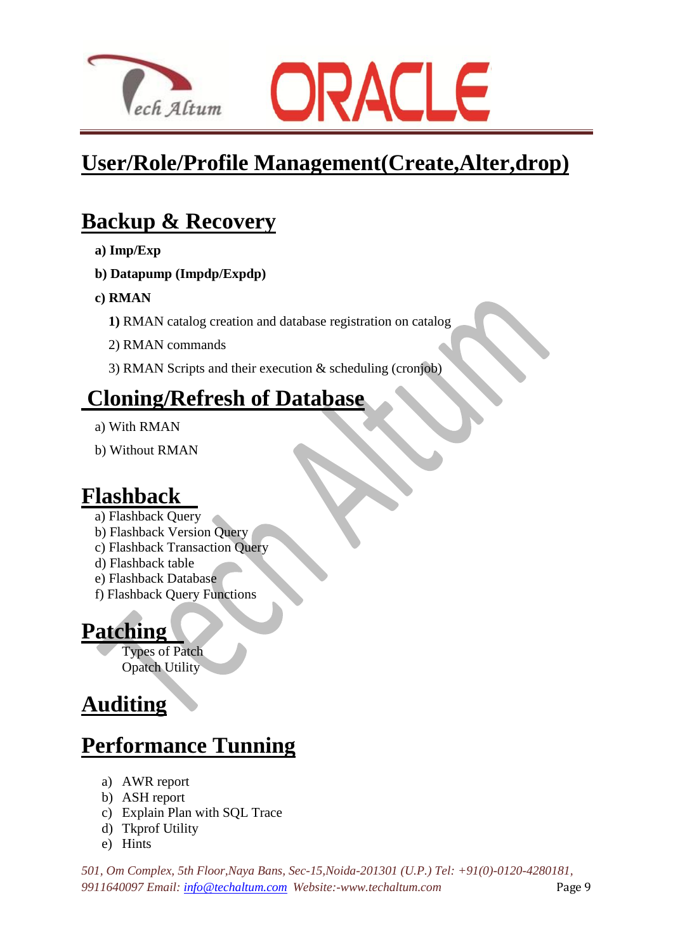



# **User/Role/Profile Management(Create,Alter,drop)**

# **Backup & Recovery**

- **a) Imp/Exp**
- **b) Datapump (Impdp/Expdp)**
- **c) RMAN**
	- **1)** RMAN catalog creation and database registration on catalog
	- 2) RMAN commands
	- 3) RMAN Scripts and their execution & scheduling (cronjob)

## **Cloning/Refresh of Database**

 $\overline{\phantom{a}}$ 

- a) With RMAN
- b) Without RMAN

## **Flashback**

- a) Flashback Query
- b) Flashback Version Query
- c) Flashback Transaction Query
- d) Flashback table
- e) Flashback Database
- f) Flashback Query Functions

## **Patching**

Types of Patch Opatch Utility

# **Auditing**

# **Performance Tunning**

- a) AWR report
- b) ASH report
- c) Explain Plan with SQL Trace
- d) Tkprof Utility
- e) Hints

*501, Om Complex, 5th Floor,Naya Bans, Sec-15,Noida-201301 (U.P.) Tel: +91(0)-0120-4280181, 9911640097 Email: [info@techaltum.com](mailto:info@techaltum.com) Website:-www.techaltum.com* Page 9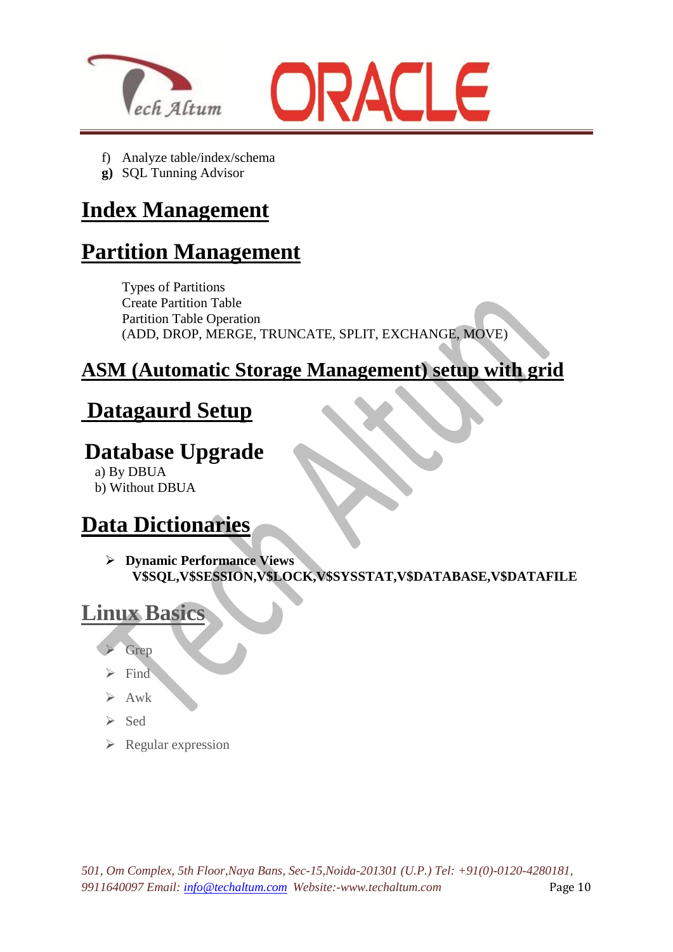



f) Analyze table/index/schema

 $\overline{\phantom{a}}$ 

**g)** SQL Tunning Advisor

## **Index Management**

# **Partition Management**

Types of Partitions Create Partition Table Partition Table Operation (ADD, DROP, MERGE, TRUNCATE, SPLIT, EXCHANGE, MOVE)

## **ASM (Automatic Storage Management) setup with grid**

# **Datagaurd Setup**

## **Database Upgrade**

a) By DBUA

b) Without DBUA

# **Data Dictionaries**

 **Dynamic Performance Views V\$SQL,V\$SESSION,V\$LOCK,V\$SYSSTAT,V\$DATABASE,V\$DATAFILE**

## **Linux Basics**

- Grep
- Find
- $\triangleright$  Awk
- $\triangleright$  Sed
- $\triangleright$  Regular expression